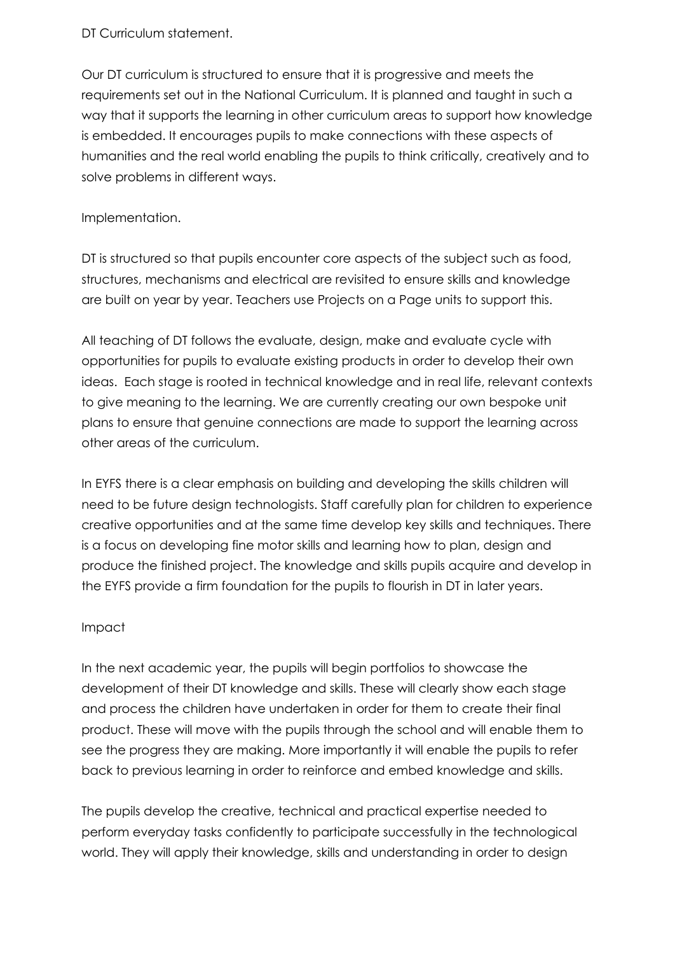## DT Curriculum statement.

Our DT curriculum is structured to ensure that it is progressive and meets the requirements set out in the National Curriculum. It is planned and taught in such a way that it supports the learning in other curriculum areas to support how knowledge is embedded. It encourages pupils to make connections with these aspects of humanities and the real world enabling the pupils to think critically, creatively and to solve problems in different ways.

## Implementation.

DT is structured so that pupils encounter core aspects of the subject such as food, structures, mechanisms and electrical are revisited to ensure skills and knowledge are built on year by year. Teachers use Projects on a Page units to support this.

All teaching of DT follows the evaluate, design, make and evaluate cycle with opportunities for pupils to evaluate existing products in order to develop their own ideas. Each stage is rooted in technical knowledge and in real life, relevant contexts to give meaning to the learning. We are currently creating our own bespoke unit plans to ensure that genuine connections are made to support the learning across other areas of the curriculum.

In EYFS there is a clear emphasis on building and developing the skills children will need to be future design technologists. Staff carefully plan for children to experience creative opportunities and at the same time develop key skills and techniques. There is a focus on developing fine motor skills and learning how to plan, design and produce the finished project. The knowledge and skills pupils acquire and develop in the EYFS provide a firm foundation for the pupils to flourish in DT in later years.

## Impact

In the next academic year, the pupils will begin portfolios to showcase the development of their DT knowledge and skills. These will clearly show each stage and process the children have undertaken in order for them to create their final product. These will move with the pupils through the school and will enable them to see the progress they are making. More importantly it will enable the pupils to refer back to previous learning in order to reinforce and embed knowledge and skills.

The pupils develop the creative, technical and practical expertise needed to perform everyday tasks confidently to participate successfully in the technological world. They will apply their knowledge, skills and understanding in order to design